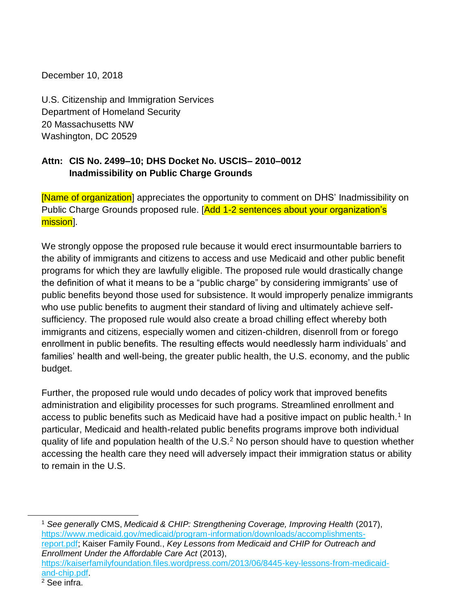December 10, 2018

U.S. Citizenship and Immigration Services Department of Homeland Security 20 Massachusetts NW Washington, DC 20529

#### **Attn: CIS No. 2499–10; DHS Docket No. USCIS– 2010–0012 Inadmissibility on Public Charge Grounds**

[Name of organization] appreciates the opportunity to comment on DHS' Inadmissibility on Public Charge Grounds proposed rule. [Add 1-2 sentences about your organization's mission].

We strongly oppose the proposed rule because it would erect insurmountable barriers to the ability of immigrants and citizens to access and use Medicaid and other public benefit programs for which they are lawfully eligible. The proposed rule would drastically change the definition of what it means to be a "public charge" by considering immigrants' use of public benefits beyond those used for subsistence. It would improperly penalize immigrants who use public benefits to augment their standard of living and ultimately achieve selfsufficiency. The proposed rule would also create a broad chilling effect whereby both immigrants and citizens, especially women and citizen-children, disenroll from or forego enrollment in public benefits. The resulting effects would needlessly harm individuals' and families' health and well-being, the greater public health, the U.S. economy, and the public budget.

Further, the proposed rule would undo decades of policy work that improved benefits administration and eligibility processes for such programs. Streamlined enrollment and access to public benefits such as Medicaid have had a positive impact on public health.<sup>1</sup> In particular, Medicaid and health-related public benefits programs improve both individual quality of life and population health of the U.S.<sup>2</sup> No person should have to question whether accessing the health care they need will adversely impact their immigration status or ability to remain in the U.S.

<sup>1</sup> *See generally* CMS, *Medicaid & CHIP: Strengthening Coverage, Improving Health* (2017), [https://www.medicaid.gov/medicaid/program-information/downloads/accomplishments](https://www.medicaid.gov/medicaid/program-information/downloads/accomplishments-report.pdf)[report.pdf;](https://www.medicaid.gov/medicaid/program-information/downloads/accomplishments-report.pdf) Kaiser Family Found., *Key Lessons from Medicaid and CHIP for Outreach and Enrollment Under the Affordable Care Act* (2013), [https://kaiserfamilyfoundation.files.wordpress.com/2013/06/8445-key-lessons-from-medicaid](https://kaiserfamilyfoundation.files.wordpress.com/2013/06/8445-key-lessons-from-medicaid-and-chip.pdf)[and-chip.pdf.](https://kaiserfamilyfoundation.files.wordpress.com/2013/06/8445-key-lessons-from-medicaid-and-chip.pdf)

 $\overline{a}$ 

 $2$  See infra.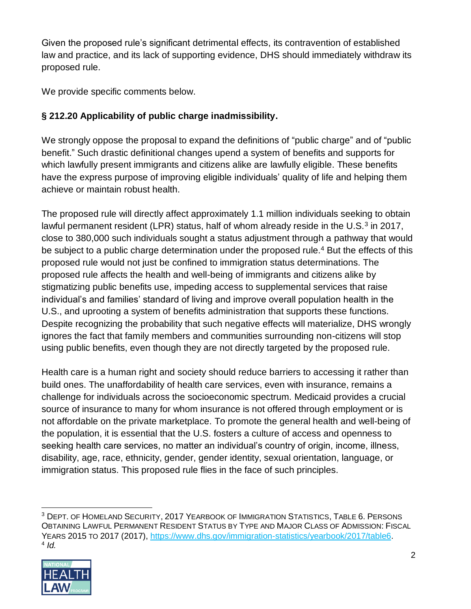Given the proposed rule's significant detrimental effects, its contravention of established law and practice, and its lack of supporting evidence, DHS should immediately withdraw its proposed rule.

We provide specific comments below.

# **§ 212.20 Applicability of public charge inadmissibility.**

We strongly oppose the proposal to expand the definitions of "public charge" and of "public benefit." Such drastic definitional changes upend a system of benefits and supports for which lawfully present immigrants and citizens alike are lawfully eligible. These benefits have the express purpose of improving eligible individuals' quality of life and helping them achieve or maintain robust health.

The proposed rule will directly affect approximately 1.1 million individuals seeking to obtain lawful permanent resident (LPR) status, half of whom already reside in the U.S. $3$  in 2017, close to 380,000 such individuals sought a status adjustment through a pathway that would be subject to a public charge determination under the proposed rule.<sup>4</sup> But the effects of this proposed rule would not just be confined to immigration status determinations. The proposed rule affects the health and well-being of immigrants and citizens alike by stigmatizing public benefits use, impeding access to supplemental services that raise individual's and families' standard of living and improve overall population health in the U.S., and uprooting a system of benefits administration that supports these functions. Despite recognizing the probability that such negative effects will materialize, DHS wrongly ignores the fact that family members and communities surrounding non-citizens will stop using public benefits, even though they are not directly targeted by the proposed rule.

Health care is a human right and society should reduce barriers to accessing it rather than build ones. The unaffordability of health care services, even with insurance, remains a challenge for individuals across the socioeconomic spectrum. Medicaid provides a crucial source of insurance to many for whom insurance is not offered through employment or is not affordable on the private marketplace. To promote the general health and well-being of the population, it is essential that the U.S. fosters a culture of access and openness to seeking health care services, no matter an individual's country of origin, income, illness, disability, age, race, ethnicity, gender, gender identity, sexual orientation, language, or immigration status. This proposed rule flies in the face of such principles.

<sup>3</sup> DEPT. OF HOMELAND SECURITY, 2017 YEARBOOK OF IMMIGRATION STATISTICS, TABLE 6. PERSONS OBTAINING LAWFUL PERMANENT RESIDENT STATUS BY TYPE AND MAJOR CLASS OF ADMISSION: FISCAL YEARS 2015 TO 2017 (2017), [https://www.dhs.gov/immigration-statistics/yearbook/2017/table6.](https://www.dhs.gov/immigration-statistics/yearbook/2017/table6) 4 *Id.*

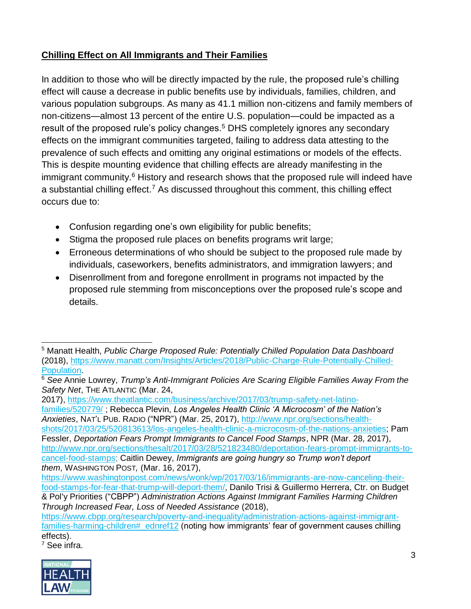## **Chilling Effect on All Immigrants and Their Families**

In addition to those who will be directly impacted by the rule, the proposed rule's chilling effect will cause a decrease in public benefits use by individuals, families, children, and various population subgroups. As many as 41.1 million non-citizens and family members of non-citizens—almost 13 percent of the entire U.S. population—could be impacted as a result of the proposed rule's policy changes.<sup>5</sup> DHS completely ignores any secondary effects on the immigrant communities targeted, failing to address data attesting to the prevalence of such effects and omitting any original estimations or models of the effects. This is despite mounting evidence that chilling effects are already manifesting in the immigrant community.<sup>6</sup> History and research shows that the proposed rule will indeed have a substantial chilling effect.<sup>7</sup> As discussed throughout this comment, this chilling effect occurs due to:

- Confusion regarding one's own eligibility for public benefits;
- Stigma the proposed rule places on benefits programs writ large;
- Erroneous determinations of who should be subject to the proposed rule made by individuals, caseworkers, benefits administrators, and immigration lawyers; and
- Disenrollment from and foregone enrollment in programs not impacted by the proposed rule stemming from misconceptions over the proposed rule's scope and details.

2017), [https://www.theatlantic.com/business/archive/2017/03/trump-safety-net-latino](https://www.theatlantic.com/business/archive/2017/03/trump-safety-net-latino-families/520779/)[families/520779/](https://www.theatlantic.com/business/archive/2017/03/trump-safety-net-latino-families/520779/) ; Rebecca Plevin, *Los Angeles Health Clinic 'A Microcosm' of the Nation's Anxieties*, NAT'L PUB. RADIO ("NPR") (Mar. 25, 2017), [http://www.npr.org/sections/health](http://www.npr.org/sections/health-shots/2017/03/25/520813613/los-angeles-health-clinic-a-microcosm-of-the-nations-anxieties)[shots/2017/03/25/520813613/los-angeles-health-clinic-a-microcosm-of-the-nations-anxieties;](http://www.npr.org/sections/health-shots/2017/03/25/520813613/los-angeles-health-clinic-a-microcosm-of-the-nations-anxieties) Pam Fessler, *Deportation Fears Prompt Immigrants to Cancel Food Stamps*, NPR (Mar. 28, 2017), [http://www.npr.org/sections/thesalt/2017/03/28/521823480/deportation-fears-prompt-immigrants-to](http://www.npr.org/sections/thesalt/2017/03/28/521823480/deportation-fears-prompt-immigrants-to-cancel-food-stamps)[cancel-food-stamps;](http://www.npr.org/sections/thesalt/2017/03/28/521823480/deportation-fears-prompt-immigrants-to-cancel-food-stamps) Caitlin Dewey, *Immigrants are going hungry so Trump won't deport them*, WASHINGTON POST*,* (Mar. 16, 2017),

<sup>7</sup> See infra.



 $\overline{a}$ <sup>5</sup> Manatt Health, *Public Charge Proposed Rule: Potentially Chilled Population Data Dashboard* (2018), [https://www.manatt.com/Insights/Articles/2018/Public-Charge-Rule-Potentially-Chilled-](https://www.manatt.com/Insights/Articles/2018/Public-Charge-Rule-Potentially-Chilled-Population)[Population.](https://www.manatt.com/Insights/Articles/2018/Public-Charge-Rule-Potentially-Chilled-Population)

<sup>6</sup> *See* Annie Lowrey, *Trump's Anti-Immigrant Policies Are Scaring Eligible Families Away From the Safety Net*, THE ATLANTIC (Mar. 24,

[https://www.washingtonpost.com/news/wonk/wp/2017/03/16/immigrants-are-now-canceling-their](https://www.washingtonpost.com/news/wonk/wp/2017/03/16/immigrants-are-now-canceling-their-food-stamps-for-fear-that-trump-will-deport-them/)[food-stamps-for-fear-that-trump-will-deport-them/,](https://www.washingtonpost.com/news/wonk/wp/2017/03/16/immigrants-are-now-canceling-their-food-stamps-for-fear-that-trump-will-deport-them/) Danilo Trisi & Guillermo Herrera, Ctr. on Budget & Pol'y Priorities ("CBPP") *Administration Actions Against Immigrant Families Harming Children Through Increased Fear, Loss of Needed Assistance* (2018),

[https://www.cbpp.org/research/poverty-and-inequality/administration-actions-against-immigrant](https://www.cbpp.org/research/poverty-and-inequality/administration-actions-against-immigrant-families-harming-children#_ednref12)families-harming-children# ednref12 (noting how immigrants' fear of government causes chilling effects).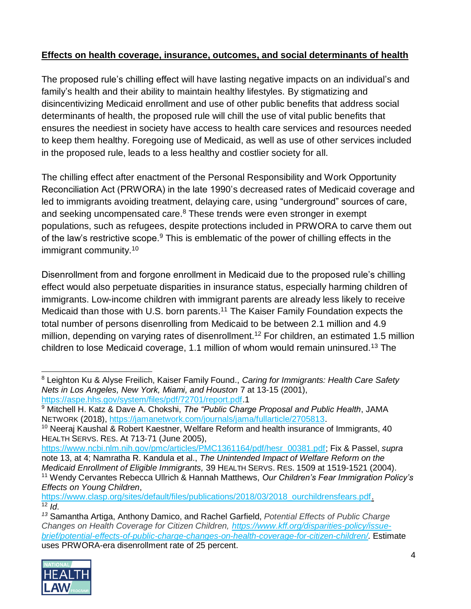### **Effects on health coverage, insurance, outcomes, and social determinants of health**

The proposed rule's chilling effect will have lasting negative impacts on an individual's and family's health and their ability to maintain healthy lifestyles. By stigmatizing and disincentivizing Medicaid enrollment and use of other public benefits that address social determinants of health, the proposed rule will chill the use of vital public benefits that ensures the neediest in society have access to health care services and resources needed to keep them healthy. Foregoing use of Medicaid, as well as use of other services included in the proposed rule, leads to a less healthy and costlier society for all.

The chilling effect after enactment of the Personal Responsibility and Work Opportunity Reconciliation Act (PRWORA) in the late 1990's decreased rates of Medicaid coverage and led to immigrants avoiding treatment, delaying care, using "underground" sources of care, and seeking uncompensated care.<sup>8</sup> These trends were even stronger in exempt populations, such as refugees, despite protections included in PRWORA to carve them out of the law's restrictive scope. $9$  This is emblematic of the power of chilling effects in the immigrant community.<sup>10</sup>

Disenrollment from and forgone enrollment in Medicaid due to the proposed rule's chilling effect would also perpetuate disparities in insurance status, especially harming children of immigrants. Low-income children with immigrant parents are already less likely to receive Medicaid than those with U.S. born parents.<sup>11</sup> The Kaiser Family Foundation expects the total number of persons disenrolling from Medicaid to be between 2.1 million and 4.9 million, depending on varying rates of disenrollment.<sup>12</sup> For children, an estimated 1.5 million children to lose Medicaid coverage, 1.1 million of whom would remain uninsured.<sup>13</sup> The

*<sup>13</sup>* Samantha Artiga, Anthony Damico, and Rachel Garfield, *Potential Effects of Public Charge Changes on Health Coverage for Citizen Children, [https://www.kff.org/disparities-policy/issue](https://www.kff.org/disparities-policy/issue-brief/potential-effects-of-public-charge-changes-on-health-coverage-for-citizen-children/)[brief/potential-effects-of-public-charge-changes-on-health-coverage-for-citizen-children/.](https://www.kff.org/disparities-policy/issue-brief/potential-effects-of-public-charge-changes-on-health-coverage-for-citizen-children/)* Estimate uses PRWORA-era disenrollment rate of 25 percent.



 <sup>8</sup> Leighton Ku & Alyse Freilich, Kaiser Family Found., *Caring for Immigrants: Health Care Safety Nets in Los Angeles, New York, Miami, and Houston* 7 at 13-15 (2001), [https://aspe.hhs.gov/system/files/pdf/72701/report.pdf.](https://aspe.hhs.gov/system/files/pdf/72701/report.pdf)1

<sup>9</sup> Mitchell H. Katz & Dave A. Chokshi, *The "Public Charge Proposal and Public Health*, JAMA NETWORK (2018), [https://jamanetwork.com/journals/jama/fullarticle/2705813.](https://jamanetwork.com/journals/jama/fullarticle/2705813)

 $10$  Neeraj Kaushal & Robert Kaestner, Welfare Reform and health insurance of Immigrants, 40 HEALTH SERVS. RES. At 713-71 (June 2005),

[https://www.ncbi.nlm.nih.gov/pmc/articles/PMC1361164/pdf/hesr\\_00381.pdf;](https://www.ncbi.nlm.nih.gov/pmc/articles/PMC1361164/pdf/hesr_00381.pdf) Fix & Passel, *supra* note 13, at 4; Namratha R. Kandula et al., *The Unintended Impact of Welfare Reform on the Medicaid Enrollment of Eligible Immigrants,* 39 HEALTH SERVS. RES. 1509 at 1519-1521 (2004). <sup>11</sup> Wendy Cervantes Rebecca Ullrich & Hannah Matthews, *Our Children's Fear Immigration Policy's Effects on Young Children*,

[https://www.clasp.org/sites/default/files/publications/2018/03/2018\\_ourchildrensfears.pdf.](https://www.clasp.org/sites/default/files/publications/2018/03/2018_ourchildrensfears.pdf) <sup>12</sup> *Id*.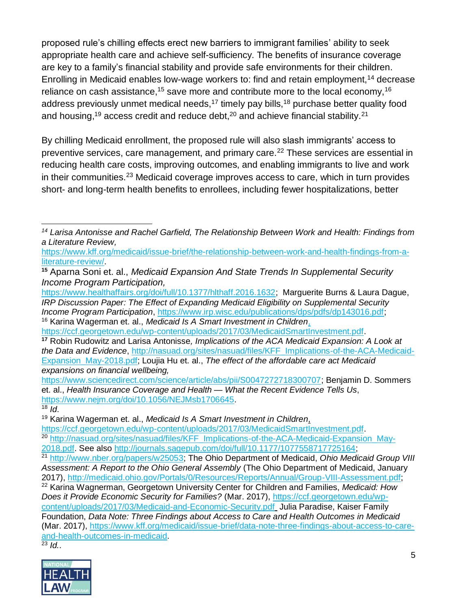proposed rule's chilling effects erect new barriers to immigrant families' ability to seek appropriate health care and achieve self-sufficiency. The benefits of insurance coverage are key to a family's financial stability and provide safe environments for their children. Enrolling in Medicaid enables low-wage workers to: find and retain employment,<sup>14</sup> decrease reliance on cash assistance,<sup>15</sup> save more and contribute more to the local economy,<sup>16</sup> address previously unmet medical needs,<sup>17</sup> timely pay bills,<sup>18</sup> purchase better quality food and housing,<sup>19</sup> access credit and reduce debt, $20$  and achieve financial stability.<sup>21</sup>

By chilling Medicaid enrollment, the proposed rule will also slash immigrants' access to preventive services, care management, and primary care.<sup>22</sup> These services are essential in reducing health care costs, improving outcomes, and enabling immigrants to live and work in their communities.<sup>23</sup> Medicaid coverage improves access to care, which in turn provides short- and long-term health benefits to enrollees, including fewer hospitalizations, better

<sup>16</sup> Karina Wagerman et. al., *Medicaid Is A Smart Investment in Children*, [https://ccf.georgetown.edu/wp-content/uploads/2017/03/MedicaidSmartInvestment.pdf.](https://ccf.georgetown.edu/wp-content/uploads/2017/03/MedicaidSmartInvestment.pdf)

 $18$  *Id.* 

Foundation, *Data Note: Three Findings about Access to Care and Health Outcomes in Medicaid* (Mar. 2017), [https://www.kff.org/medicaid/issue-brief/data-note-three-findings-about-access-to-care](https://www.kff.org/medicaid/issue-brief/data-note-three-findings-about-access-to-care-and-health-outcomes-in-medicaid)[and-health-outcomes-in-medicaid.](https://www.kff.org/medicaid/issue-brief/data-note-three-findings-about-access-to-care-and-health-outcomes-in-medicaid)

<sup>23</sup> *Id.*.



 *<sup>14</sup> Larisa Antonisse and Rachel Garfield, The Relationship Between Work and Health: Findings from a Literature Review,*

[https://www.kff.org/medicaid/issue-brief/the-relationship-between-work-and-health-findings-from-a](https://www.kff.org/medicaid/issue-brief/the-relationship-between-work-and-health-findings-from-a-literature-review/)[literature-review/.](https://www.kff.org/medicaid/issue-brief/the-relationship-between-work-and-health-findings-from-a-literature-review/)

**<sup>15</sup>** Aparna Soni et. al., *Medicaid Expansion And State Trends In Supplemental Security Income Program Participation,*

[https://www.healthaffairs.org/doi/full/10.1377/hlthaff.2016.1632;](https://www.healthaffairs.org/doi/full/10.1377/hlthaff.2016.1632) Marguerite Burns & Laura Dague, *IRP Discussion Paper: The Effect of Expanding Medicaid Eligibility on Supplemental Security Income Program Participation*, [https://www.irp.wisc.edu/publications/dps/pdfs/dp143016.pdf;](https://www.irp.wisc.edu/publications/dps/pdfs/dp143016.pdf)

**<sup>17</sup>** Robin Rudowitz and Larisa Antonisse*, Implications of the ACA Medicaid Expansion: A Look at the Data and Evidence*, [http://nasuad.org/sites/nasuad/files/KFF\\_Implications-of-the-ACA-Medicaid-](http://nasuad.org/sites/nasuad/files/KFF_Implications-of-the-ACA-Medicaid-Expansion_May-2018.pdf)[Expansion\\_May-2018.pdf;](http://nasuad.org/sites/nasuad/files/KFF_Implications-of-the-ACA-Medicaid-Expansion_May-2018.pdf) Loujia Hu et. al., *The effect of the affordable care act Medicaid expansions on financial wellbeing,* 

[https://www.sciencedirect.com/science/article/abs/pii/S0047272718300707;](https://www.sciencedirect.com/science/article/abs/pii/S0047272718300707) Benjamin D. Sommers et. al., *Health Insurance Coverage and Health — What the Recent Evidence Tells Us*, [https://www.nejm.org/doi/10.1056/NEJMsb1706645.](https://www.nejm.org/doi/10.1056/NEJMsb1706645)

<sup>19</sup> Karina Wagerman et. al., *Medicaid Is A Smart Investment in Children*,

[https://ccf.georgetown.edu/wp-content/uploads/2017/03/MedicaidSmartInvestment.pdf.](https://ccf.georgetown.edu/wp-content/uploads/2017/03/MedicaidSmartInvestment.pdf)

<sup>20</sup> [http://nasuad.org/sites/nasuad/files/KFF\\_Implications-of-the-ACA-Medicaid-Expansion\\_May-](http://nasuad.org/sites/nasuad/files/KFF_Implications-of-the-ACA-Medicaid-Expansion_May-2018.pdf)[2018.pdf.](http://nasuad.org/sites/nasuad/files/KFF_Implications-of-the-ACA-Medicaid-Expansion_May-2018.pdf) See also [http://journals.sagepub.com/doi/full/10.1177/1077558717725164;](http://journals.sagepub.com/doi/full/10.1177/1077558717725164)

<sup>21</sup> [http://www.nber.org/papers/w25053;](http://www.nber.org/papers/w25053) The Ohio Department of Medicaid, *Ohio Medicaid Group VIII Assessment: A Report to the Ohio General Assembly* (The Ohio Department of Medicaid, January 2017), [http://medicaid.ohio.gov/Portals/0/Resources/Reports/Annual/Group-VIII-Assessment.pdf;](http://medicaid.ohio.gov/Portals/0/Resources/Reports/Annual/Group-VIII-Assessment.pdf) <sup>22</sup> Karina Wagnerman, Georgetown University Center for Children and Families, *Medicaid: How Does it Provide Economic Security for Families?* (Mar. 2017), [https://ccf.georgetown.edu/wp](https://ccf.georgetown.edu/wp-content/uploads/2017/03/Medicaid-and-Economic-Security.pdf)[content/uploads/2017/03/Medicaid-and-Economic-Security.pdf](https://ccf.georgetown.edu/wp-content/uploads/2017/03/Medicaid-and-Economic-Security.pdf) Julia Paradise, Kaiser Family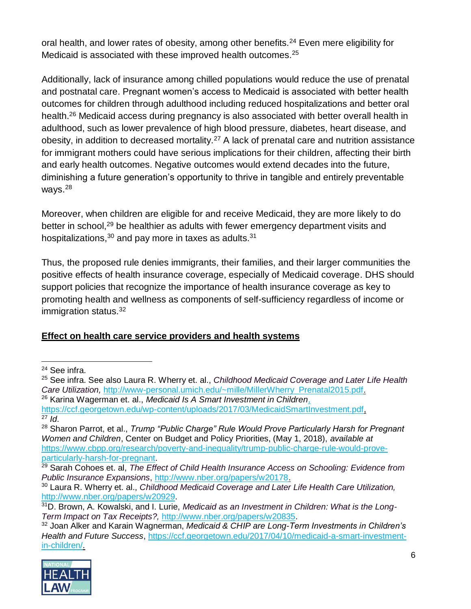oral health, and lower rates of obesity, among other benefits.<sup>24</sup> Even mere eligibility for Medicaid is associated with these improved health outcomes.<sup>25</sup>

Additionally, lack of insurance among chilled populations would reduce the use of prenatal and postnatal care. Pregnant women's access to Medicaid is associated with better health outcomes for children through adulthood including reduced hospitalizations and better oral health.<sup>26</sup> Medicaid access during pregnancy is also associated with better overall health in adulthood, such as lower prevalence of high blood pressure, diabetes, heart disease, and obesity, in addition to decreased mortality.<sup>27</sup> A lack of prenatal care and nutrition assistance for immigrant mothers could have serious implications for their children, affecting their birth and early health outcomes. Negative outcomes would extend decades into the future, diminishing a future generation's opportunity to thrive in tangible and entirely preventable ways.<sup>28</sup>

Moreover, when children are eligible for and receive Medicaid, they are more likely to do better in school,<sup>29</sup> be healthier as adults with fewer emergency department visits and hospitalizations,  $30$  and pay more in taxes as adults.  $31$ 

Thus, the proposed rule denies immigrants, their families, and their larger communities the positive effects of health insurance coverage, especially of Medicaid coverage. DHS should support policies that recognize the importance of health insurance coverage as key to promoting health and wellness as components of self-sufficiency regardless of income or immigration status.<sup>32</sup>

#### **Effect on health care service providers and health systems**

<sup>32</sup> Joan Alker and Karain Wagnerman, *Medicaid & CHIP are Long-Term Investments in Children's Health and Future Success*, [https://ccf.georgetown.edu/2017/04/10/medicaid-a-smart-investment](https://ccf.georgetown.edu/2017/04/10/medicaid-a-smart-investment-in-children/)[in-children/.](https://ccf.georgetown.edu/2017/04/10/medicaid-a-smart-investment-in-children/)



<sup>24</sup> See infra.

<sup>25</sup> See infra. See also Laura R. Wherry et. al., *Childhood Medicaid Coverage and Later Life Health Care Utilization,* [http://www-personal.umich.edu/~mille/MillerWherry\\_Prenatal2015.pdf.](http://www-personal.umich.edu/~mille/MillerWherry_Prenatal2015.pdf)

<sup>26</sup> Karina Wagerman et. al., *Medicaid Is A Smart Investment in Children*, https://ccf.georgetown.edu/wp-content/uploads/2017/03/MedicaidSmartInvestment.pdf

 $27$  *Id.* 

<sup>28</sup> Sharon Parrot, et al., *Trump "Public Charge" Rule Would Prove Particularly Harsh for Pregnant Women and Children*, Center on Budget and Policy Priorities, (May 1, 2018), *available at* [https://www.cbpp.org/research/poverty-and-inequality/trump-public-charge-rule-would-prove](https://www.cbpp.org/research/poverty-and-inequality/trump-public-charge-rule-would-prove-particularly-harsh-for-pregnant)[particularly-harsh-for-pregnant.](https://www.cbpp.org/research/poverty-and-inequality/trump-public-charge-rule-would-prove-particularly-harsh-for-pregnant)

<sup>29</sup> Sarah Cohoes et. al, *The Effect of Child Health Insurance Access on Schooling: Evidence from Public Insurance Expansions*, [http://www.nber.org/papers/w20178.](http://www.nber.org/papers/w20178)

<sup>30</sup> Laura R. Wherry et. al., *Childhood Medicaid Coverage and Later Life Health Care Utilization,* [http://www.nber.org/papers/w20929.](http://www.nber.org/papers/w20929)

<sup>31</sup>D. Brown, A. Kowalski, and I. Lurie, *Medicaid as an Investment in Children: What is the Long-Term Impact on Tax Receipts?,* [http://www.nber.org/papers/w20835.](http://www.nber.org/papers/w20835)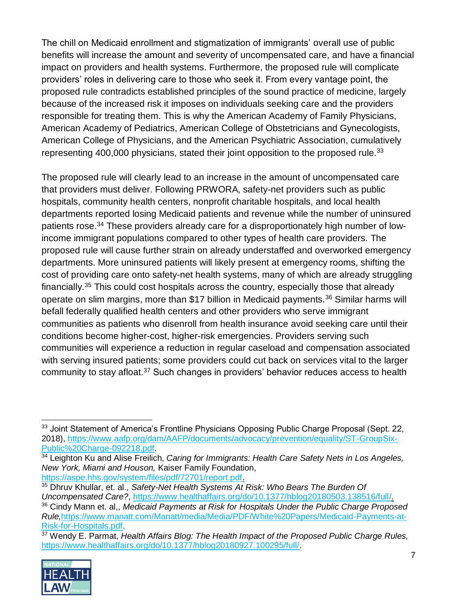The chill on Medicaid enrollment and stigmatization of immigrants' overall use of public benefits will increase the amount and severity of uncompensated care, and have a financial impact on providers and health systems. Furthermore, the proposed rule will complicate providers' roles in delivering care to those who seek it. From every vantage point, the proposed rule contradicts established principles of the sound practice of medicine, largely because of the increased risk it imposes on individuals seeking care and the providers responsible for treating them. This is why the American Academy of Family Physicians, American Academy of Pediatrics, American College of Obstetricians and Gynecologists, American College of Physicians, and the American Psychiatric Association, cumulatively representing 400,000 physicians, stated their joint opposition to the proposed rule.<sup>33</sup>

The proposed rule will clearly lead to an increase in the amount of uncompensated care that providers must deliver. Following PRWORA, safety-net providers such as public hospitals, community health centers, nonprofit charitable hospitals, and local health departments reported losing Medicaid patients and revenue while the number of uninsured patients rose.<sup>34</sup> These providers already care for a disproportionately high number of lowincome immigrant populations compared to other types of health care providers. The proposed rule will cause further strain on already understaffed and overworked emergency departments. More uninsured patients will likely present at emergency rooms, shifting the cost of providing care onto safety-net health systems, many of which are already struggling financially.<sup>35</sup> This could cost hospitals across the country, especially those that already operate on slim margins, more than \$17 billion in Medicaid payments.<sup>36</sup> Similar harms will befall federally qualified health centers and other providers who serve immigrant communities as patients who disenroll from health insurance avoid seeking care until their conditions become higher-cost, higher-risk emergencies. Providers serving such communities will experience a reduction in regular caseload and compensation associated with serving insured patients; some providers could cut back on services vital to the larger community to stay afloat.<sup>37</sup> Such changes in providers' behavior reduces access to health

<sup>37</sup> Wendy E. Parmat, *Health Affairs Blog: The Health Impact of the Proposed Public Charge Rules,* [https://www.healthaffairs.org/do/10.1377/hblog20180927.100295/full/.](https://www.healthaffairs.org/do/10.1377/hblog20180927.100295/full/)



 $\overline{a}$ 

<sup>&</sup>lt;sup>33</sup> Joint Statement of America's Frontline Physicians Opposing Public Charge Proposal (Sept. 22, 2018), [https://www.aafp.org/dam/AAFP/documents/advocacy/prevention/equality/ST-GroupSix-](https://www.aafp.org/dam/AAFP/documents/advocacy/prevention/equality/ST-GroupSix-Public%20Charge-092218.pdf)[Public%20Charge-092218.pdf.](https://www.aafp.org/dam/AAFP/documents/advocacy/prevention/equality/ST-GroupSix-Public%20Charge-092218.pdf)

<sup>34</sup> Leighton Ku and Alise Freilich, *Caring for Immigrants: Health Care Safety Nets in Los Angeles, New York, Miami and Houson,* Kaiser Family Foundation, [https://aspe.hhs.gov/system/files/pdf/72701/report.pdf.](https://aspe.hhs.gov/system/files/pdf/72701/report.pdf)

<sup>35</sup> Dhruv Khullar, et. al., *Safety-Net Health Systems At Risk: Who Bears The Burden Of Uncompensated Care?*, [https://www.healthaffairs.org/do/10.1377/hblog20180503.138516/full/.](https://www.healthaffairs.org/do/10.1377/hblog20180503.138516/full/) <sup>36</sup> Cindy Mann et. al,, *Medicaid Payments at Risk for Hospitals Under the Public Charge Proposed Rule,*[https://www.manatt.com/Manatt/media/Media/PDF/White%20Papers/Medicaid-Payments-at-](https://www.manatt.com/Manatt/media/Media/PDF/White%20Papers/Medicaid-Payments-at-Risk-for-Hospitals.pdf)[Risk-for-Hospitals.pdf.](https://www.manatt.com/Manatt/media/Media/PDF/White%20Papers/Medicaid-Payments-at-Risk-for-Hospitals.pdf)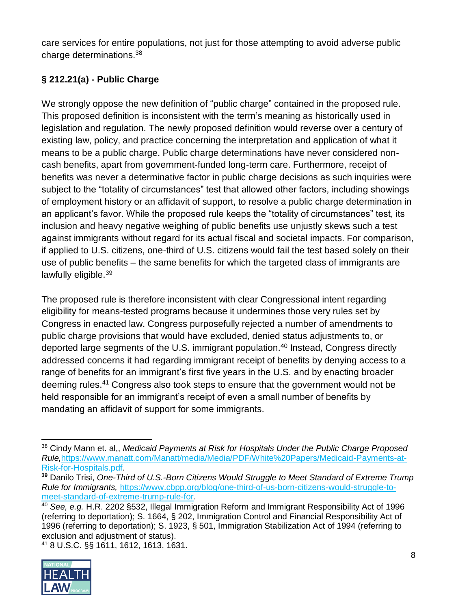care services for entire populations, not just for those attempting to avoid adverse public charge determinations.<sup>38</sup>

# **§ 212.21(a) - Public Charge**

We strongly oppose the new definition of "public charge" contained in the proposed rule. This proposed definition is inconsistent with the term's meaning as historically used in legislation and regulation. The newly proposed definition would reverse over a century of existing law, policy, and practice concerning the interpretation and application of what it means to be a public charge. Public charge determinations have never considered noncash benefits, apart from government-funded long-term care. Furthermore, receipt of benefits was never a determinative factor in public charge decisions as such inquiries were subject to the "totality of circumstances" test that allowed other factors, including showings of employment history or an affidavit of support, to resolve a public charge determination in an applicant's favor. While the proposed rule keeps the "totality of circumstances" test, its inclusion and heavy negative weighing of public benefits use unjustly skews such a test against immigrants without regard for its actual fiscal and societal impacts. For comparison, if applied to U.S. citizens, one-third of U.S. citizens would fail the test based solely on their use of public benefits – the same benefits for which the targeted class of immigrants are lawfully eligible.<sup>39</sup>

The proposed rule is therefore inconsistent with clear Congressional intent regarding eligibility for means-tested programs because it undermines those very rules set by Congress in enacted law. Congress purposefully rejected a number of amendments to public charge provisions that would have excluded, denied status adjustments to, or deported large segments of the U.S. immigrant population.<sup>40</sup> Instead, Congress directly addressed concerns it had regarding immigrant receipt of benefits by denying access to a range of benefits for an immigrant's first five years in the U.S. and by enacting broader deeming rules.<sup>41</sup> Congress also took steps to ensure that the government would not be held responsible for an immigrant's receipt of even a small number of benefits by mandating an affidavit of support for some immigrants.

<sup>41</sup> 8 U.S.C. §§ 1611, 1612, 1613, 1631.



 <sup>38</sup> Cindy Mann et. al,, *Medicaid Payments at Risk for Hospitals Under the Public Charge Proposed Rule,*[https://www.manatt.com/Manatt/media/Media/PDF/White%20Papers/Medicaid-Payments-at-](https://www.manatt.com/Manatt/media/Media/PDF/White%20Papers/Medicaid-Payments-at-Risk-for-Hospitals.pdf)[Risk-for-Hospitals.pdf.](https://www.manatt.com/Manatt/media/Media/PDF/White%20Papers/Medicaid-Payments-at-Risk-for-Hospitals.pdf)

**<sup>39</sup>** Danilo Trisi, *One-Third of U.S.-Born Citizens Would Struggle to Meet Standard of Extreme Trump Rule for Immigrants,* [https://www.cbpp.org/blog/one-third-of-us-born-citizens-would-struggle-to](https://www.cbpp.org/blog/one-third-of-us-born-citizens-would-struggle-to-meet-standard-of-extreme-trump-rule-for)[meet-standard-of-extreme-trump-rule-for.](https://www.cbpp.org/blog/one-third-of-us-born-citizens-would-struggle-to-meet-standard-of-extreme-trump-rule-for)

<sup>40</sup> *See, e.g.* H.R. 2202 §532, Illegal Immigration Reform and Immigrant Responsibility Act of 1996 (referring to deportation); S. 1664, § 202, Immigration Control and Financial Responsibility Act of 1996 (referring to deportation); S. 1923, § 501, Immigration Stabilization Act of 1994 (referring to exclusion and adjustment of status).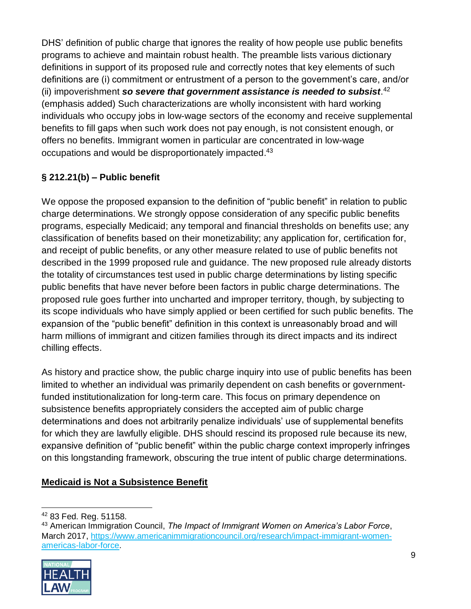DHS' definition of public charge that ignores the reality of how people use public benefits programs to achieve and maintain robust health. The preamble lists various dictionary definitions in support of its proposed rule and correctly notes that key elements of such definitions are (i) commitment or entrustment of a person to the government's care, and/or (ii) impoverishment *so severe that government assistance is needed to subsist*. 42 (emphasis added) Such characterizations are wholly inconsistent with hard working individuals who occupy jobs in low-wage sectors of the economy and receive supplemental benefits to fill gaps when such work does not pay enough, is not consistent enough, or offers no benefits. Immigrant women in particular are concentrated in low-wage occupations and would be disproportionately impacted.<sup>43</sup>

## **§ 212.21(b) – Public benefit**

We oppose the proposed expansion to the definition of "public benefit" in relation to public charge determinations. We strongly oppose consideration of any specific public benefits programs, especially Medicaid; any temporal and financial thresholds on benefits use; any classification of benefits based on their monetizability; any application for, certification for, and receipt of public benefits, or any other measure related to use of public benefits not described in the 1999 proposed rule and guidance. The new proposed rule already distorts the totality of circumstances test used in public charge determinations by listing specific public benefits that have never before been factors in public charge determinations. The proposed rule goes further into uncharted and improper territory, though, by subjecting to its scope individuals who have simply applied or been certified for such public benefits. The expansion of the "public benefit" definition in this context is unreasonably broad and will harm millions of immigrant and citizen families through its direct impacts and its indirect chilling effects.

As history and practice show, the public charge inquiry into use of public benefits has been limited to whether an individual was primarily dependent on cash benefits or governmentfunded institutionalization for long-term care. This focus on primary dependence on subsistence benefits appropriately considers the accepted aim of public charge determinations and does not arbitrarily penalize individuals' use of supplemental benefits for which they are lawfully eligible. DHS should rescind its proposed rule because its new, expansive definition of "public benefit" within the public charge context improperly infringes on this longstanding framework, obscuring the true intent of public charge determinations.

#### **Medicaid is Not a Subsistence Benefit**

<sup>43</sup> American Immigration Council, *The Impact of Immigrant Women on America's Labor Force*, March 2017, [https://www.americanimmigrationcouncil.org/research/impact-immigrant-women](https://www.americanimmigrationcouncil.org/research/impact-immigrant-women-americas-labor-force)[americas-labor-force.](https://www.americanimmigrationcouncil.org/research/impact-immigrant-women-americas-labor-force)



<sup>42</sup> 83 Fed. Reg. 51158.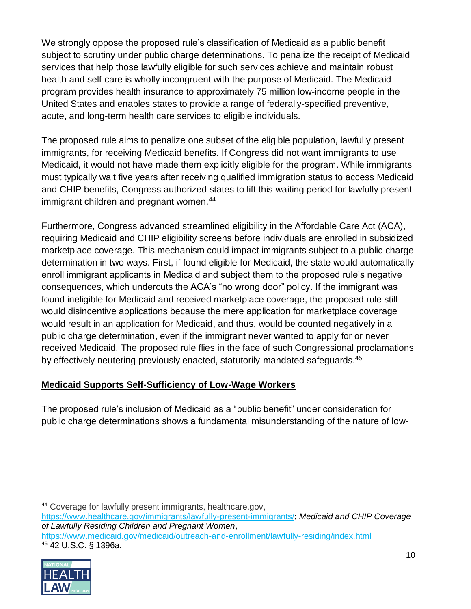We strongly oppose the proposed rule's classification of Medicaid as a public benefit subject to scrutiny under public charge determinations. To penalize the receipt of Medicaid services that help those lawfully eligible for such services achieve and maintain robust health and self-care is wholly incongruent with the purpose of Medicaid. The Medicaid program provides health insurance to approximately 75 million low-income people in the United States and enables states to provide a range of federally-specified preventive, acute, and long-term health care services to eligible individuals.

The proposed rule aims to penalize one subset of the eligible population, lawfully present immigrants, for receiving Medicaid benefits. If Congress did not want immigrants to use Medicaid, it would not have made them explicitly eligible for the program. While immigrants must typically wait five years after receiving qualified immigration status to access Medicaid and CHIP benefits, Congress authorized states to lift this waiting period for lawfully present immigrant children and pregnant women.<sup>44</sup>

Furthermore, Congress advanced streamlined eligibility in the Affordable Care Act (ACA), requiring Medicaid and CHIP eligibility screens before individuals are enrolled in subsidized marketplace coverage. This mechanism could impact immigrants subject to a public charge determination in two ways. First, if found eligible for Medicaid, the state would automatically enroll immigrant applicants in Medicaid and subject them to the proposed rule's negative consequences, which undercuts the ACA's "no wrong door" policy. If the immigrant was found ineligible for Medicaid and received marketplace coverage, the proposed rule still would disincentive applications because the mere application for marketplace coverage would result in an application for Medicaid, and thus, would be counted negatively in a public charge determination, even if the immigrant never wanted to apply for or never received Medicaid. The proposed rule flies in the face of such Congressional proclamations by effectively neutering previously enacted, statutorily-mandated safeguards.<sup>45</sup>

#### **Medicaid Supports Self-Sufficiency of Low-Wage Workers**

The proposed rule's inclusion of Medicaid as a "public benefit" under consideration for public charge determinations shows a fundamental misunderstanding of the nature of low-

 <sup>44</sup> Coverage for lawfully present immigrants, healthcare.gov, [https://www.healthcare.gov/immigrants/lawfully-present-immigrants/;](https://www.healthcare.gov/immigrants/lawfully-present-immigrants/) *Medicaid and CHIP Coverage of Lawfully Residing Children and Pregnant Women*, <https://www.medicaid.gov/medicaid/outreach-and-enrollment/lawfully-residing/index.html> <sup>45</sup> 42 U.S.C. § 1396a.

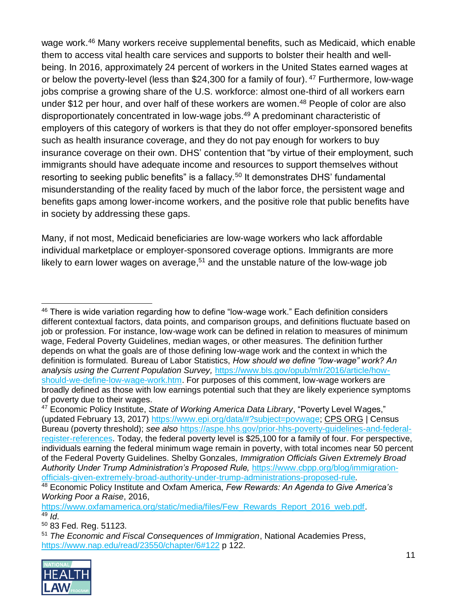wage work.<sup>46</sup> Many workers receive supplemental benefits, such as Medicaid, which enable them to access vital health care services and supports to bolster their health and wellbeing. In 2016, approximately 24 percent of workers in the United States earned wages at or below the poverty-level (less than \$24,300 for a family of four).  $47$  Furthermore, low-wage jobs comprise a growing share of the U.S. workforce: almost one-third of all workers earn under \$12 per hour, and over half of these workers are women. <sup>48</sup> People of color are also disproportionately concentrated in low-wage jobs.<sup>49</sup> A predominant characteristic of employers of this category of workers is that they do not offer employer-sponsored benefits such as health insurance coverage, and they do not pay enough for workers to buy insurance coverage on their own. DHS' contention that "by virtue of their employment, such immigrants should have adequate income and resources to support themselves without resorting to seeking public benefits" is a fallacy.<sup>50</sup> It demonstrates DHS' fundamental misunderstanding of the reality faced by much of the labor force, the persistent wage and benefits gaps among lower-income workers, and the positive role that public benefits have in society by addressing these gaps.

Many, if not most, Medicaid beneficiaries are low-wage workers who lack affordable individual marketplace or employer-sponsored coverage options. Immigrants are more likely to earn lower wages on average,<sup>51</sup> and the unstable nature of the low-wage job

<sup>51</sup> *The Economic and Fiscal Consequences of Immigration*, National Academies Press, <https://www.nap.edu/read/23550/chapter/6#122> p 122.



 <sup>46</sup> There is wide variation regarding how to define "low-wage work." Each definition considers different contextual factors, data points, and comparison groups, and definitions fluctuate based on job or profession. For instance, low-wage work can be defined in relation to measures of minimum wage, Federal Poverty Guidelines, median wages, or other measures. The definition further depends on what the goals are of those defining low-wage work and the context in which the definition is formulated. Bureau of Labor Statistics, *How should we define "low-wage" work? An analysis using the Current Population Survey,* [https://www.bls.gov/opub/mlr/2016/article/how](https://www.bls.gov/opub/mlr/2016/article/how-should-we-define-low-wage-work.htm)[should-we-define-low-wage-work.htm.](https://www.bls.gov/opub/mlr/2016/article/how-should-we-define-low-wage-work.htm) For purposes of this comment, low-wage workers are broadly defined as those with low earnings potential such that they are likely experience symptoms of poverty due to their wages.

<sup>47</sup> Economic Policy Institute, *State of Working America Data Library*, "Poverty Level Wages," (updated February 13, 2017) [https://www.epi.org/data/#?subject=povwage;](https://www.epi.org/data/#?subject=povwage) [CPS ORG](https://www.epi.org/data/#cpsorg) | Census Bureau (poverty threshold); *see also* [https://aspe.hhs.gov/prior-hhs-poverty-guidelines-and-federal](https://aspe.hhs.gov/prior-hhs-poverty-guidelines-and-federal-register-references)[register-references.](https://aspe.hhs.gov/prior-hhs-poverty-guidelines-and-federal-register-references) Today, the federal poverty level is \$25,100 for a family of four. For perspective, individuals earning the federal minimum wage remain in poverty, with total incomes near 50 percent of the Federal Poverty Guidelines. Shelby Gonzales*, Immigration Officials Given Extremely Broad Authority Under Trump Administration's Proposed Rule,* [https://www.cbpp.org/blog/immigration](https://www.cbpp.org/blog/immigration-officials-given-extremely-broad-authority-under-trump-administrations-proposed-rule)[officials-given-extremely-broad-authority-under-trump-administrations-proposed-rule](https://www.cbpp.org/blog/immigration-officials-given-extremely-broad-authority-under-trump-administrations-proposed-rule)*.*

<sup>48</sup> Economic Policy Institute and Oxfam America, *Few Rewards: An Agenda to Give America's Working Poor a Raise*, 2016,

[https://www.oxfamamerica.org/static/media/files/Few\\_Rewards\\_Report\\_2016\\_web.pdf.](https://www.oxfamamerica.org/static/media/files/Few_Rewards_Report_2016_web.pdf)  $49$  *Id.* 

<sup>50</sup> 83 Fed. Reg. 51123.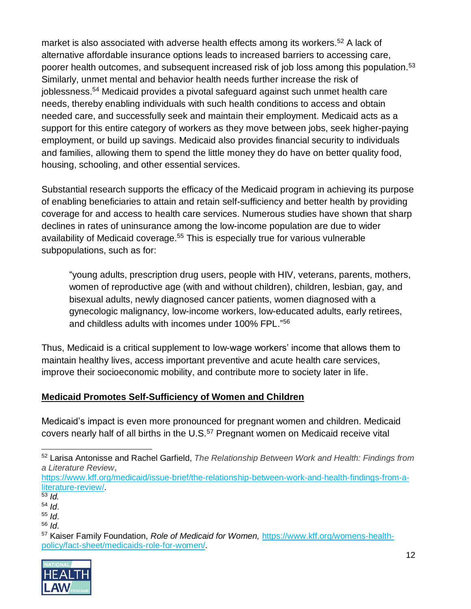market is also associated with adverse health effects among its workers.<sup>52</sup> A lack of alternative affordable insurance options leads to increased barriers to accessing care, poorer health outcomes, and subsequent increased risk of job loss among this population.<sup>53</sup> Similarly, unmet mental and behavior health needs further increase the risk of joblessness.<sup>54</sup> Medicaid provides a pivotal safeguard against such unmet health care needs, thereby enabling individuals with such health conditions to access and obtain needed care, and successfully seek and maintain their employment. Medicaid acts as a support for this entire category of workers as they move between jobs, seek higher-paying employment, or build up savings. Medicaid also provides financial security to individuals and families, allowing them to spend the little money they do have on better quality food, housing, schooling, and other essential services.

Substantial research supports the efficacy of the Medicaid program in achieving its purpose of enabling beneficiaries to attain and retain self-sufficiency and better health by providing coverage for and access to health care services. Numerous studies have shown that sharp declines in rates of uninsurance among the low-income population are due to wider availability of Medicaid coverage.<sup>55</sup> This is especially true for various vulnerable subpopulations, such as for:

"young adults, prescription drug users, people with HIV, veterans, parents, mothers, women of reproductive age (with and without children), children, lesbian, gay, and bisexual adults, newly diagnosed cancer patients, women diagnosed with a gynecologic malignancy, low-income workers, low-educated adults, early retirees, and childless adults with incomes under 100% FPL."<sup>56</sup>

Thus, Medicaid is a critical supplement to low-wage workers' income that allows them to maintain healthy lives, access important preventive and acute health care services, improve their socioeconomic mobility, and contribute more to society later in life.

#### **Medicaid Promotes Self-Sufficiency of Women and Children**

Medicaid's impact is even more pronounced for pregnant women and children. Medicaid covers nearly half of all births in the U.S.<sup>57</sup> Pregnant women on Medicaid receive vital

<sup>57</sup> Kaiser Family Foundation, *Role of Medicaid for Women,* [https://www.kff.org/womens-health](https://www.kff.org/womens-health-policy/fact-sheet/medicaids-role-for-women/)[policy/fact-sheet/medicaids-role-for-women/.](https://www.kff.org/womens-health-policy/fact-sheet/medicaids-role-for-women/)



<sup>52</sup> Larisa [Antonisse](https://www.kff.org/person/larisa-antonisse/) and Rachel [Garfield,](https://www.kff.org/person/rachel-garfield/) *The Relationship Between Work and Health: Findings from a Literature Review***,**

[https://www.kff.org/medicaid/issue-brief/the-relationship-between-work-and-health-findings-from-a](https://www.kff.org/medicaid/issue-brief/the-relationship-between-work-and-health-findings-from-a-literature-review/)[literature-review/.](https://www.kff.org/medicaid/issue-brief/the-relationship-between-work-and-health-findings-from-a-literature-review/)

 $\overline{53}$  *Id.* 

<sup>54</sup> *Id*.

<sup>55</sup> *Id*.

<sup>56</sup> *Id*.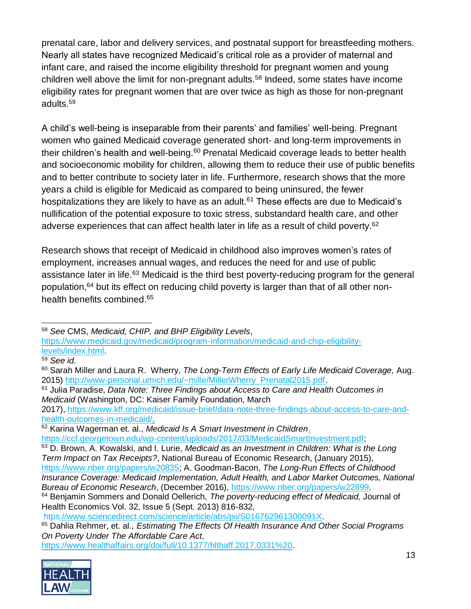prenatal care, labor and delivery services, and postnatal support for breastfeeding mothers. Nearly all states have recognized Medicaid's critical role as a provider of maternal and infant care, and raised the income eligibility threshold for pregnant women and young children well above the limit for non-pregnant adults.<sup>58</sup> Indeed, some states have income eligibility rates for pregnant women that are over twice as high as those for non-pregnant adults.<sup>59</sup>

A child's well-being is inseparable from their parents' and families' well-being. Pregnant women who gained Medicaid coverage generated short- and long-term improvements in their children's health and well-being.<sup>60</sup> Prenatal Medicaid coverage leads to better health and socioeconomic mobility for children, allowing them to reduce their use of public benefits and to better contribute to society later in life. Furthermore, research shows that the more years a child is eligible for Medicaid as compared to being uninsured, the fewer hospitalizations they are likely to have as an adult.<sup>61</sup> These effects are due to Medicaid's nullification of the potential exposure to toxic stress, substandard health care, and other adverse experiences that can affect health later in life as a result of child poverty.<sup>62</sup>

Research shows that receipt of Medicaid in childhood also improves women's rates of employment, increases annual wages, and reduces the need for and use of public assistance later in life.<sup>63</sup> Medicaid is the third best poverty-reducing program for the general population,<sup>64</sup> but its effect on reducing child poverty is larger than that of all other nonhealth benefits combined.<sup>65</sup>

<sup>61</sup> Julia Paradise, *Data Note: Three Findings about Access to Care and Health Outcomes in Medicaid* (Washington, DC: Kaiser Family Foundation, March

2017), [https://www.kff.org/medicaid/issue-brief/data-note-three-findings-about-access-to-care-and](https://www.kff.org/medicaid/issue-brief/data-note-three-findings-about-access-to-care-and-health-outcomes-in-medicaid/)[health-outcomes-in-medicaid/.](https://www.kff.org/medicaid/issue-brief/data-note-three-findings-about-access-to-care-and-health-outcomes-in-medicaid/)

<sup>62</sup> Karina Wagerman et. al., *Medicaid Is A Smart Investment in Children*,

[https://ccf.georgetown.edu/wp-content/uploads/2017/03/MedicaidSmartInvestment.pdf;](https://ccf.georgetown.edu/wp-content/uploads/2017/03/MedicaidSmartInvestment.pdf)

*Bureau of Economic Research*, (December 2016), [https://www.nber.org/papers/w22899.](https://www.nber.org/papers/w22899)

[htps://www.sciencedirect.com/science/article/abs/pii/S016762961300091X.](https://www.sciencedirect.com/science/article/abs/pii/S016762961300091X)

[https://www.healthaffairs.org/doi/full/10.1377/hlthaff.2017.0331%20.](https://www.healthaffairs.org/doi/full/10.1377/hlthaff.2017.0331)



 <sup>58</sup> *See* CMS, *Medicaid, CHIP, and BHP Eligibility Levels*,

[https://www.medicaid.gov/medicaid/program-information/medicaid-and-chip-eligibility](https://www.medicaid.gov/medicaid/program-information/medicaid-and-chip-eligibility-levels/index.html)[levels/index.html.](https://www.medicaid.gov/medicaid/program-information/medicaid-and-chip-eligibility-levels/index.html)

<sup>59</sup> *See id.*

<sup>60</sup> Sarah Miller and Laura R. Wherry, *The Long-Term Effects of Early Life Medicaid Coverage,* Aug. 2015) [http://www-personal.umich.edu/~mille/MillerWherry\\_Prenatal2015.pdf.](http://www-personal.umich.edu/~mille/MillerWherry_Prenatal2015.pdf)

<sup>63</sup> D. Brown, A. Kowalski, and I. Lurie, *Medicaid as an Investment in Children: What is the Long Term Impact on Tax Receipts?*, National Bureau of Economic Research, (January 2015), [https://www.nber.org/papers/w20835;](https://www.nber.org/papers/w20835) A. Goodman-Bacon, *The Long-Run Effects of Childhood Insurance Coverage: Medicaid Implementation, Adult Health, and Labor Market Outcomes, National* 

<sup>64</sup> Benjamin Sommers and Donald Oellerich, *The poverty-reducing effect of Medicaid,* Journal of Health Economics Vol. 32, Issue 5 (Sept. 2013) 816-832,

<sup>65</sup> Dahlia Rehmer, et. al., *Estimating The Effects Of Health Insurance And Other Social Programs On Poverty Under The Affordable Care Act,*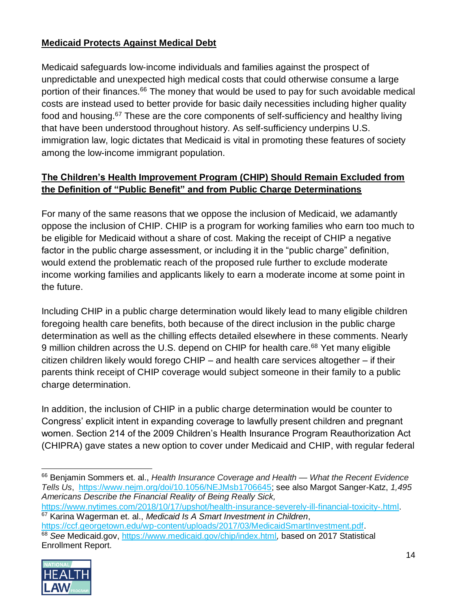#### **Medicaid Protects Against Medical Debt**

Medicaid safeguards low-income individuals and families against the prospect of unpredictable and unexpected high medical costs that could otherwise consume a large portion of their finances.<sup>66</sup> The money that would be used to pay for such avoidable medical costs are instead used to better provide for basic daily necessities including higher quality food and housing.<sup>67</sup> These are the core components of self-sufficiency and healthy living that have been understood throughout history. As self-sufficiency underpins U.S. immigration law, logic dictates that Medicaid is vital in promoting these features of society among the low-income immigrant population.

### **The Children's Health Improvement Program (CHIP) Should Remain Excluded from the Definition of "Public Benefit" and from Public Charge Determinations**

For many of the same reasons that we oppose the inclusion of Medicaid, we adamantly oppose the inclusion of CHIP. CHIP is a program for working families who earn too much to be eligible for Medicaid without a share of cost. Making the receipt of CHIP a negative factor in the public charge assessment, or including it in the "public charge" definition, would extend the problematic reach of the proposed rule further to exclude moderate income working families and applicants likely to earn a moderate income at some point in the future.

Including CHIP in a public charge determination would likely lead to many eligible children foregoing health care benefits, both because of the direct inclusion in the public charge determination as well as the chilling effects detailed elsewhere in these comments. Nearly 9 million children across the U.S. depend on CHIP for health care.<sup>68</sup> Yet many eligible citizen children likely would forego CHIP – and health care services altogether – if their parents think receipt of CHIP coverage would subject someone in their family to a public charge determination.

In addition, the inclusion of CHIP in a public charge determination would be counter to Congress' explicit intent in expanding coverage to lawfully present children and pregnant women. Section 214 of the 2009 Children's Health Insurance Program Reauthorization Act (CHIPRA) gave states a new option to cover under Medicaid and CHIP, with regular federal

[https://ccf.georgetown.edu/wp-content/uploads/2017/03/MedicaidSmartInvestment.pdf.](https://ccf.georgetown.edu/wp-content/uploads/2017/03/MedicaidSmartInvestment.pdf) <sup>68</sup> *See* Medicaid.gov, <https://www.medicaid.gov/chip/index.html>*,* based on 2017 Statistical Enrollment Report.



 $\overline{a}$ <sup>66</sup> Benjamin Sommers et. al., *Health Insurance Coverage and Health — What the Recent Evidence Tells Us*, [https://www.nejm.org/doi/10.1056/NEJMsb1706645;](https://www.nejm.org/doi/10.1056/NEJMsb1706645) see also Margot Sanger-Katz, *1,495 Americans Describe the Financial Reality of Being Really Sick,*

[https://www.nytimes.com/2018/10/17/upshot/health-insurance-severely-ill-financial-toxicity-.html.](https://www.nytimes.com/2018/10/17/upshot/health-insurance-severely-ill-financial-toxicity-.html) <sup>67</sup> Karina Wagerman et. al., *Medicaid Is A Smart Investment in Children*,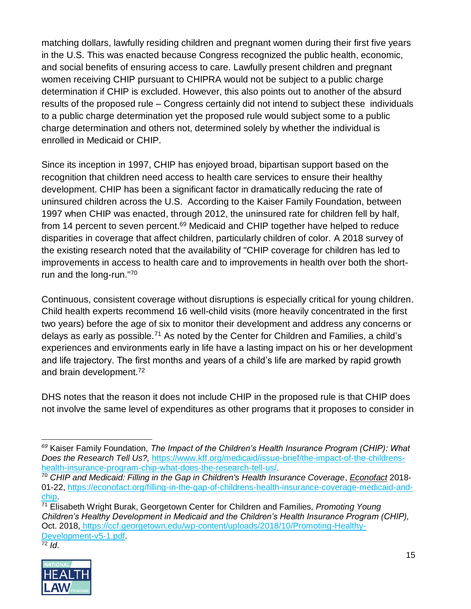matching dollars, lawfully residing children and pregnant women during their first five years in the U.S. This was enacted because Congress recognized the public health, economic, and social benefits of ensuring access to care. Lawfully present children and pregnant women receiving CHIP pursuant to CHIPRA would not be subject to a public charge determination if CHIP is excluded. However, this also points out to another of the absurd results of the proposed rule – Congress certainly did not intend to subject these individuals to a public charge determination yet the proposed rule would subject some to a public charge determination and others not, determined solely by whether the individual is enrolled in Medicaid or CHIP.

Since its inception in 1997, CHIP has enjoyed broad, bipartisan support based on the recognition that children need access to health care services to ensure their healthy development. CHIP has been a significant factor in dramatically reducing the rate of uninsured children across the U.S. According to the Kaiser Family Foundation, between 1997 when CHIP was enacted, through 2012, the uninsured rate for children fell by half, from 14 percent to seven percent.<sup>69</sup> Medicaid and CHIP together have helped to reduce disparities in coverage that affect children, particularly children of color. A 2018 survey of the existing research noted that the availability of "CHIP coverage for children has led to improvements in access to health care and to improvements in health over both the shortrun and the long-run."<sup>70</sup>

Continuous, consistent coverage without disruptions is especially critical for young children. Child health experts recommend 16 well-child visits (more heavily concentrated in the first two years) before the age of six to monitor their development and address any concerns or delays as early as possible.<sup>71</sup> As noted by the Center for Children and Families, a child's experiences and environments early in life have a lasting impact on his or her development and life trajectory. The first months and years of a child's life are marked by rapid growth and brain development.<sup>72</sup>

DHS notes that the reason it does not include CHIP in the proposed rule is that CHIP does not involve the same level of expenditures as other programs that it proposes to consider in

<sup>72</sup> *Id*.



 *<sup>69</sup>* Kaiser Family Foundation, *The Impact of the Children's Health Insurance Program (CHIP): What Does the Research Tell Us?,* [https://www.kff.org/medicaid/issue-brief/the-impact-of-the-childrens](https://www.kff.org/medicaid/issue-brief/the-impact-of-the-childrens-health-insurance-program-chip-what-does-the-research-tell-us/)[health-insurance-program-chip-what-does-the-research-tell-us/.](https://www.kff.org/medicaid/issue-brief/the-impact-of-the-childrens-health-insurance-program-chip-what-does-the-research-tell-us/)

<sup>70</sup> *CHIP and Medicaid: Filling in the Gap in Children's Health Insurance Coverage*, *Econofact* 2018- 01-22, [https://econofact.org/filling-in-the-gap-of-childrens-health-insurance-coverage-medicaid-and](https://econofact.org/filling-in-the-gap-of-childrens-health-insurance-coverage-medicaid-and-chip)[chip.](https://econofact.org/filling-in-the-gap-of-childrens-health-insurance-coverage-medicaid-and-chip)

<sup>71</sup> Elisabeth Wright Burak, Georgetown Center for Children and Families, *Promoting Young Children's Healthy Development in Medicaid and the Children's Health Insurance Program (CHIP),*  Oct. 2018, [https://ccf.georgetown.edu/wp-content/uploads/2018/10/Promoting-Healthy-](https://ccf.georgetown.edu/wp-content/uploads/2018/10/Promoting-Healthy-Development-v5-1.pdf)[Development-v5-1.pdf.](https://ccf.georgetown.edu/wp-content/uploads/2018/10/Promoting-Healthy-Development-v5-1.pdf)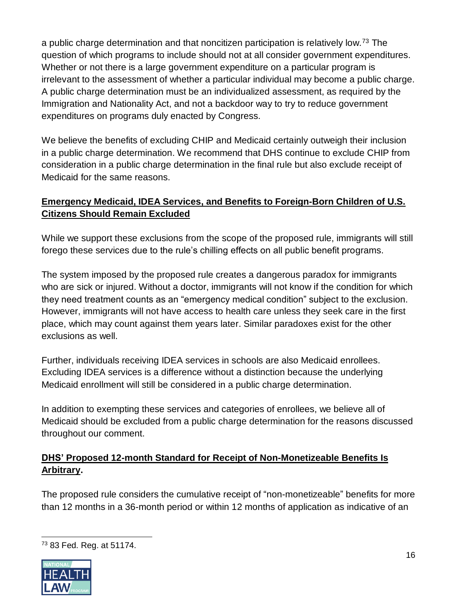a public charge determination and that noncitizen participation is relatively low.<sup>73</sup> The question of which programs to include should not at all consider government expenditures. Whether or not there is a large government expenditure on a particular program is irrelevant to the assessment of whether a particular individual may become a public charge. A public charge determination must be an individualized assessment, as required by the Immigration and Nationality Act, and not a backdoor way to try to reduce government expenditures on programs duly enacted by Congress.

We believe the benefits of excluding CHIP and Medicaid certainly outweigh their inclusion in a public charge determination. We recommend that DHS continue to exclude CHIP from consideration in a public charge determination in the final rule but also exclude receipt of Medicaid for the same reasons.

### **Emergency Medicaid, IDEA Services, and Benefits to Foreign-Born Children of U.S. Citizens Should Remain Excluded**

While we support these exclusions from the scope of the proposed rule, immigrants will still forego these services due to the rule's chilling effects on all public benefit programs.

The system imposed by the proposed rule creates a dangerous paradox for immigrants who are sick or injured. Without a doctor, immigrants will not know if the condition for which they need treatment counts as an "emergency medical condition" subject to the exclusion. However, immigrants will not have access to health care unless they seek care in the first place, which may count against them years later. Similar paradoxes exist for the other exclusions as well.

Further, individuals receiving IDEA services in schools are also Medicaid enrollees. Excluding IDEA services is a difference without a distinction because the underlying Medicaid enrollment will still be considered in a public charge determination.

In addition to exempting these services and categories of enrollees, we believe all of Medicaid should be excluded from a public charge determination for the reasons discussed throughout our comment.

### **DHS' Proposed 12-month Standard for Receipt of Non-Monetizeable Benefits Is Arbitrary.**

The proposed rule considers the cumulative receipt of "non-monetizeable" benefits for more than 12 months in a 36-month period or within 12 months of application as indicative of an

 $\overline{a}$ <sup>73</sup> 83 Fed. Reg. at 51174.

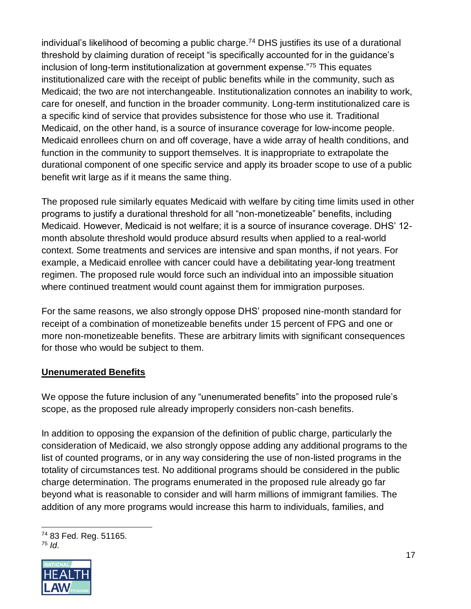individual's likelihood of becoming a public charge.<sup>74</sup> DHS justifies its use of a durational threshold by claiming duration of receipt "is specifically accounted for in the guidance's inclusion of long-term institutionalization at government expense."<sup>75</sup> This equates institutionalized care with the receipt of public benefits while in the community, such as Medicaid; the two are not interchangeable. Institutionalization connotes an inability to work, care for oneself, and function in the broader community. Long-term institutionalized care is a specific kind of service that provides subsistence for those who use it. Traditional Medicaid, on the other hand, is a source of insurance coverage for low-income people. Medicaid enrollees churn on and off coverage, have a wide array of health conditions, and function in the community to support themselves. It is inappropriate to extrapolate the durational component of one specific service and apply its broader scope to use of a public benefit writ large as if it means the same thing.

The proposed rule similarly equates Medicaid with welfare by citing time limits used in other programs to justify a durational threshold for all "non-monetizeable" benefits, including Medicaid. However, Medicaid is not welfare; it is a source of insurance coverage. DHS' 12 month absolute threshold would produce absurd results when applied to a real-world context. Some treatments and services are intensive and span months, if not years. For example, a Medicaid enrollee with cancer could have a debilitating year-long treatment regimen. The proposed rule would force such an individual into an impossible situation where continued treatment would count against them for immigration purposes.

For the same reasons, we also strongly oppose DHS' proposed nine-month standard for receipt of a combination of monetizeable benefits under 15 percent of FPG and one or more non-monetizeable benefits. These are arbitrary limits with significant consequences for those who would be subject to them.

#### **Unenumerated Benefits**

We oppose the future inclusion of any "unenumerated benefits" into the proposed rule's scope, as the proposed rule already improperly considers non-cash benefits.

In addition to opposing the expansion of the definition of public charge, particularly the consideration of Medicaid, we also strongly oppose adding any additional programs to the list of counted programs, or in any way considering the use of non-listed programs in the totality of circumstances test. No additional programs should be considered in the public charge determination. The programs enumerated in the proposed rule already go far beyond what is reasonable to consider and will harm millions of immigrant families. The addition of any more programs would increase this harm to individuals, families, and

 $\overline{a}$ <sup>74</sup> 83 Fed. Reg. 51165. <sup>75</sup> *Id*.

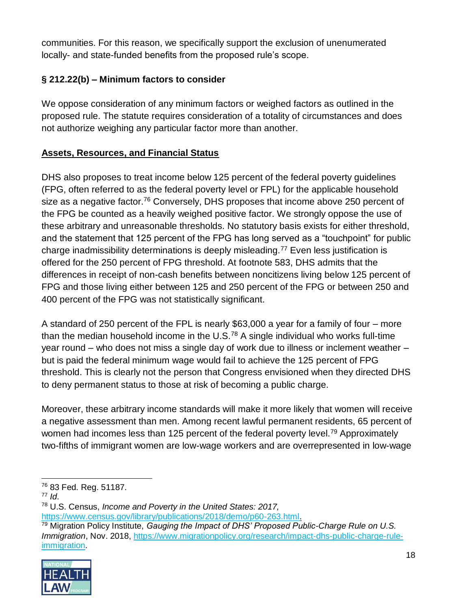communities. For this reason, we specifically support the exclusion of unenumerated locally- and state-funded benefits from the proposed rule's scope.

## **§ 212.22(b) – Minimum factors to consider**

We oppose consideration of any minimum factors or weighed factors as outlined in the proposed rule. The statute requires consideration of a totality of circumstances and does not authorize weighing any particular factor more than another.

#### **Assets, Resources, and Financial Status**

DHS also proposes to treat income below 125 percent of the federal poverty guidelines (FPG, often referred to as the federal poverty level or FPL) for the applicable household size as a negative factor.<sup>76</sup> Conversely, DHS proposes that income above 250 percent of the FPG be counted as a heavily weighed positive factor. We strongly oppose the use of these arbitrary and unreasonable thresholds. No statutory basis exists for either threshold, and the statement that 125 percent of the FPG has long served as a "touchpoint" for public charge inadmissibility determinations is deeply misleading.<sup>77</sup> Even less justification is offered for the 250 percent of FPG threshold. At footnote 583, DHS admits that the differences in receipt of non-cash benefits between noncitizens living below 125 percent of FPG and those living either between 125 and 250 percent of the FPG or between 250 and 400 percent of the FPG was not statistically significant.

A standard of 250 percent of the FPL is nearly \$63,000 a year for a family of four – more than the median household income in the  $U.S.^{78}$  A single individual who works full-time year round – who does not miss a single day of work due to illness or inclement weather – but is paid the federal minimum wage would fail to achieve the 125 percent of FPG threshold. This is clearly not the person that Congress envisioned when they directed DHS to deny permanent status to those at risk of becoming a public charge.

Moreover, these arbitrary income standards will make it more likely that women will receive a negative assessment than men. Among recent lawful permanent residents, 65 percent of women had incomes less than 125 percent of the federal poverty level.<sup>79</sup> Approximately two-fifths of immigrant women are low-wage workers and are overrepresented in low-wage

<sup>79</sup> Migration Policy Institute, *Gauging the Impact of DHS' Proposed Public-Charge Rule on U.S. Immigration*, Nov. 2018, [https://www.migrationpolicy.org/research/impact-dhs-public-charge-rule](https://www.migrationpolicy.org/research/impact-dhs-public-charge-rule-immigration)[immigration.](https://www.migrationpolicy.org/research/impact-dhs-public-charge-rule-immigration)



<sup>76</sup> 83 Fed. Reg. 51187.

<sup>77</sup> *Id*.

<sup>78</sup> U.S. Census, *Income and Poverty in the United States: 2017,* 

[https://www.census.gov/library/publications/2018/demo/p60-263.html.](https://www.census.gov/library/publications/2018/demo/p60-263.html)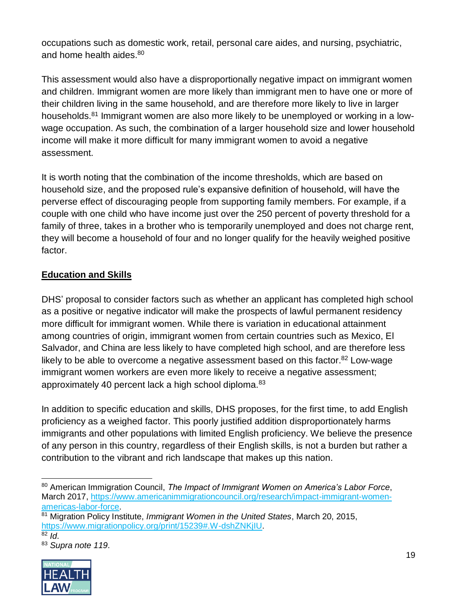occupations such as domestic work, retail, personal care aides, and nursing, psychiatric, and home health aides.<sup>80</sup>

This assessment would also have a disproportionally negative impact on immigrant women and children. Immigrant women are more likely than immigrant men to have one or more of their children living in the same household, and are therefore more likely to live in larger households.<sup>81</sup> Immigrant women are also more likely to be unemployed or working in a lowwage occupation. As such, the combination of a larger household size and lower household income will make it more difficult for many immigrant women to avoid a negative assessment.

It is worth noting that the combination of the income thresholds, which are based on household size, and the proposed rule's expansive definition of household, will have the perverse effect of discouraging people from supporting family members. For example, if a couple with one child who have income just over the 250 percent of poverty threshold for a family of three, takes in a brother who is temporarily unemployed and does not charge rent, they will become a household of four and no longer qualify for the heavily weighed positive factor.

### **Education and Skills**

DHS' proposal to consider factors such as whether an applicant has completed high school as a positive or negative indicator will make the prospects of lawful permanent residency more difficult for immigrant women. While there is variation in educational attainment among countries of origin, immigrant women from certain countries such as Mexico, El Salvador, and China are less likely to have completed high school, and are therefore less likely to be able to overcome a negative assessment based on this factor.<sup>82</sup> Low-wage immigrant women workers are even more likely to receive a negative assessment; approximately 40 percent lack a high school diploma.<sup>83</sup>

In addition to specific education and skills, DHS proposes, for the first time, to add English proficiency as a weighed factor. This poorly justified addition disproportionately harms immigrants and other populations with limited English proficiency. We believe the presence of any person in this country, regardless of their English skills, is not a burden but rather a contribution to the vibrant and rich landscape that makes up this nation.

<sup>83</sup> *Supra note 119*.



<sup>80</sup> American Immigration Council, *The Impact of Immigrant Women on America's Labor Force*, March 2017, [https://www.americanimmigrationcouncil.org/research/impact-immigrant-women](https://www.americanimmigrationcouncil.org/research/impact-immigrant-women-americas-labor-force)[americas-labor-force.](https://www.americanimmigrationcouncil.org/research/impact-immigrant-women-americas-labor-force)

<sup>81</sup> Migration Policy Institute, *Immigrant Women in the United States*, March 20, 2015, [https://www.migrationpolicy.org/print/15239#.W-dshZNKjIU.](https://www.migrationpolicy.org/print/15239#.W-dshZNKjIU)

 $82$  *Id.*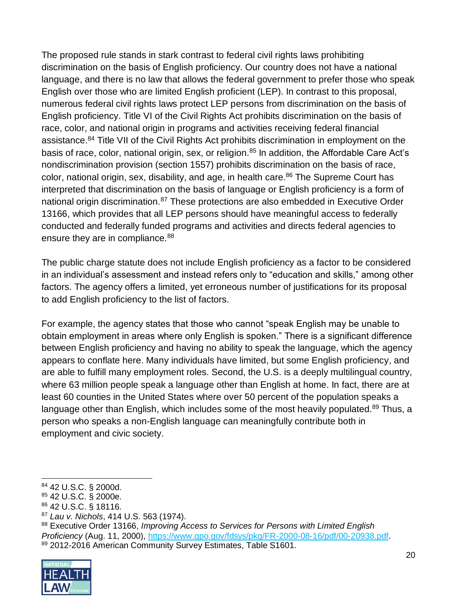The proposed rule stands in stark contrast to federal civil rights laws prohibiting discrimination on the basis of English proficiency. Our country does not have a national language, and there is no law that allows the federal government to prefer those who speak English over those who are limited English proficient (LEP). In contrast to this proposal, numerous federal civil rights laws protect LEP persons from discrimination on the basis of English proficiency. Title VI of the Civil Rights Act prohibits discrimination on the basis of race, color, and national origin in programs and activities receiving federal financial assistance.<sup>84</sup> Title VII of the Civil Rights Act prohibits discrimination in employment on the basis of race, color, national origin, sex, or religion.<sup>85</sup> In addition, the Affordable Care Act's nondiscrimination provision (section 1557) prohibits discrimination on the basis of race, color, national origin, sex, disability, and age, in health care.<sup>86</sup> The Supreme Court has interpreted that discrimination on the basis of language or English proficiency is a form of national origin discrimination.<sup>87</sup> These protections are also embedded in Executive Order 13166, which provides that all LEP persons should have meaningful access to federally conducted and federally funded programs and activities and directs federal agencies to ensure they are in compliance.<sup>88</sup>

The public charge statute does not include English proficiency as a factor to be considered in an individual's assessment and instead refers only to "education and skills," among other factors. The agency offers a limited, yet erroneous number of justifications for its proposal to add English proficiency to the list of factors.

For example, the agency states that those who cannot "speak English may be unable to obtain employment in areas where only English is spoken." There is a significant difference between English proficiency and having no ability to speak the language, which the agency appears to conflate here. Many individuals have limited, but some English proficiency, and are able to fulfill many employment roles. Second, the U.S. is a deeply multilingual country, where 63 million people speak a language other than English at home. In fact, there are at least 60 counties in the United States where over 50 percent of the population speaks a language other than English, which includes some of the most heavily populated.<sup>89</sup> Thus, a person who speaks a non-English language can meaningfully contribute both in employment and civic society.

<sup>88</sup> Executive Order 13166, *Improving Access to Services for Persons with Limited English Proficiency* (Aug. 11, 2000), [https://www.gpo.gov/fdsys/pkg/FR-2000-08-16/pdf/00-20938.pdf.](https://www.gpo.gov/fdsys/pkg/FR-2000-08-16/pdf/00-20938.pdf) 89 2012-2016 American Community Survey Estimates, Table S1601.



 <sup>84</sup> 42 U.S.C. § 2000d.

<sup>85</sup> 42 U.S.C. § 2000e.

<sup>86</sup> 42 U.S.C. § 18116.

<sup>87</sup> *Lau v. Nichols*, 414 U.S. 563 (1974).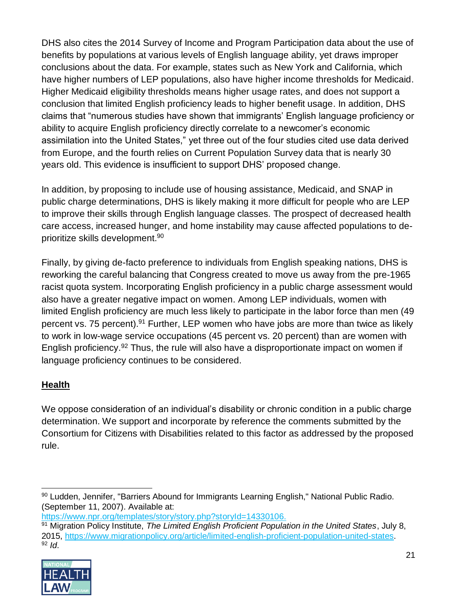DHS also cites the 2014 Survey of Income and Program Participation data about the use of benefits by populations at various levels of English language ability, yet draws improper conclusions about the data. For example, states such as New York and California, which have higher numbers of LEP populations, also have higher income thresholds for Medicaid. Higher Medicaid eligibility thresholds means higher usage rates, and does not support a conclusion that limited English proficiency leads to higher benefit usage. In addition, DHS claims that "numerous studies have shown that immigrants' English language proficiency or ability to acquire English proficiency directly correlate to a newcomer's economic assimilation into the United States," yet three out of the four studies cited use data derived from Europe, and the fourth relies on Current Population Survey data that is nearly 30 years old. This evidence is insufficient to support DHS' proposed change.

In addition, by proposing to include use of housing assistance, Medicaid, and SNAP in public charge determinations, DHS is likely making it more difficult for people who are LEP to improve their skills through English language classes. The prospect of decreased health care access, increased hunger, and home instability may cause affected populations to deprioritize skills development.<sup>90</sup>

Finally, by giving de-facto preference to individuals from English speaking nations, DHS is reworking the careful balancing that Congress created to move us away from the pre-1965 racist quota system. Incorporating English proficiency in a public charge assessment would also have a greater negative impact on women. Among LEP individuals, women with limited English proficiency are much less likely to participate in the labor force than men (49 percent vs. 75 percent).<sup>91</sup> Further, LEP women who have jobs are more than twice as likely to work in low-wage service occupations (45 percent vs. 20 percent) than are women with English proficiency.<sup>92</sup> Thus, the rule will also have a disproportionate impact on women if language proficiency continues to be considered.

## **Health**

We oppose consideration of an individual's disability or chronic condition in a public charge determination. We support and incorporate by reference the comments submitted by the Consortium for Citizens with Disabilities related to this factor as addressed by the proposed rule.

<sup>91</sup> Migration Policy Institute, *The Limited English Proficient Population in the United States*, July 8, 2015, [https://www.migrationpolicy.org/article/limited-english-proficient-population-united-states.](https://www.migrationpolicy.org/article/limited-english-proficient-population-united-states) <sup>92</sup> *Id*.



<sup>90</sup> Ludden, Jennifer, "Barriers Abound for Immigrants Learning English," National Public Radio. (September 11, 2007). Available at:

[https://www.npr.org/templates/story/story.php?storyId=14330106.](https://www.npr.org/templates/story/story.php?storyId=14330106)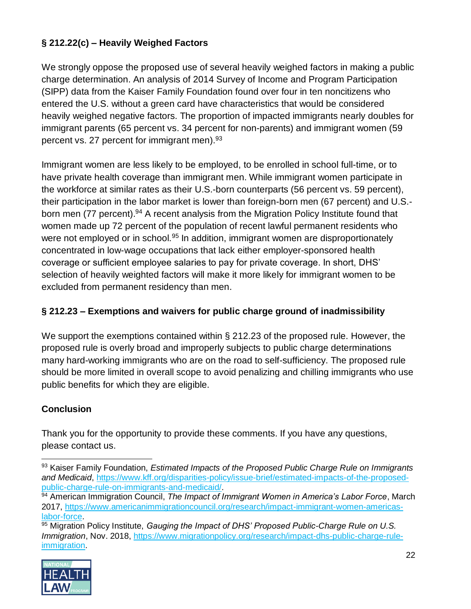## **§ 212.22(c) – Heavily Weighed Factors**

We strongly oppose the proposed use of several heavily weighed factors in making a public charge determination. An analysis of 2014 Survey of Income and Program Participation (SIPP) data from the Kaiser Family Foundation found over four in ten noncitizens who entered the U.S. without a green card have characteristics that would be considered heavily weighed negative factors. The proportion of impacted immigrants nearly doubles for immigrant parents (65 percent vs. 34 percent for non-parents) and immigrant women (59 percent vs. 27 percent for immigrant men).<sup>93</sup>

Immigrant women are less likely to be employed, to be enrolled in school full-time, or to have private health coverage than immigrant men. While immigrant women participate in the workforce at similar rates as their U.S.-born counterparts (56 percent vs. 59 percent), their participation in the labor market is lower than foreign-born men (67 percent) and U.S. born men (77 percent).<sup>94</sup> A recent analysis from the Migration Policy Institute found that women made up 72 percent of the population of recent lawful permanent residents who were not employed or in school.<sup>95</sup> In addition, immigrant women are disproportionately concentrated in low-wage occupations that lack either employer-sponsored health coverage or sufficient employee salaries to pay for private coverage. In short, DHS' selection of heavily weighted factors will make it more likely for immigrant women to be excluded from permanent residency than men.

## **§ 212.23 – Exemptions and waivers for public charge ground of inadmissibility**

We support the exemptions contained within § 212.23 of the proposed rule. However, the proposed rule is overly broad and improperly subjects to public charge determinations many hard-working immigrants who are on the road to self-sufficiency. The proposed rule should be more limited in overall scope to avoid penalizing and chilling immigrants who use public benefits for which they are eligible.

## **Conclusion**

 $\overline{a}$ 

Thank you for the opportunity to provide these comments. If you have any questions, please contact us.

<sup>&</sup>lt;sup>95</sup> Migration Policy Institute, *Gauging the Impact of DHS' Proposed Public-Charge Rule on U.S. Immigration*, Nov. 2018, [https://www.migrationpolicy.org/research/impact-dhs-public-charge-rule](https://www.migrationpolicy.org/research/impact-dhs-public-charge-rule-immigration)[immigration.](https://www.migrationpolicy.org/research/impact-dhs-public-charge-rule-immigration)



<sup>93</sup> Kaiser Family Foundation, *Estimated Impacts of the Proposed Public Charge Rule on Immigrants and Medicaid*, [https://www.kff.org/disparities-policy/issue-brief/estimated-impacts-of-the-proposed](https://www.kff.org/disparities-policy/issue-brief/estimated-impacts-of-the-proposed-public-charge-rule-on-immigrants-and-medicaid/)[public-charge-rule-on-immigrants-and-medicaid/.](https://www.kff.org/disparities-policy/issue-brief/estimated-impacts-of-the-proposed-public-charge-rule-on-immigrants-and-medicaid/)

<sup>94</sup> American Immigration Council, *The Impact of Immigrant Women in America's Labor Force*, March 2017, [https://www.americanimmigrationcouncil.org/research/impact-immigrant-women-americas](https://www.americanimmigrationcouncil.org/research/impact-immigrant-women-americas-labor-force)[labor-force.](https://www.americanimmigrationcouncil.org/research/impact-immigrant-women-americas-labor-force)